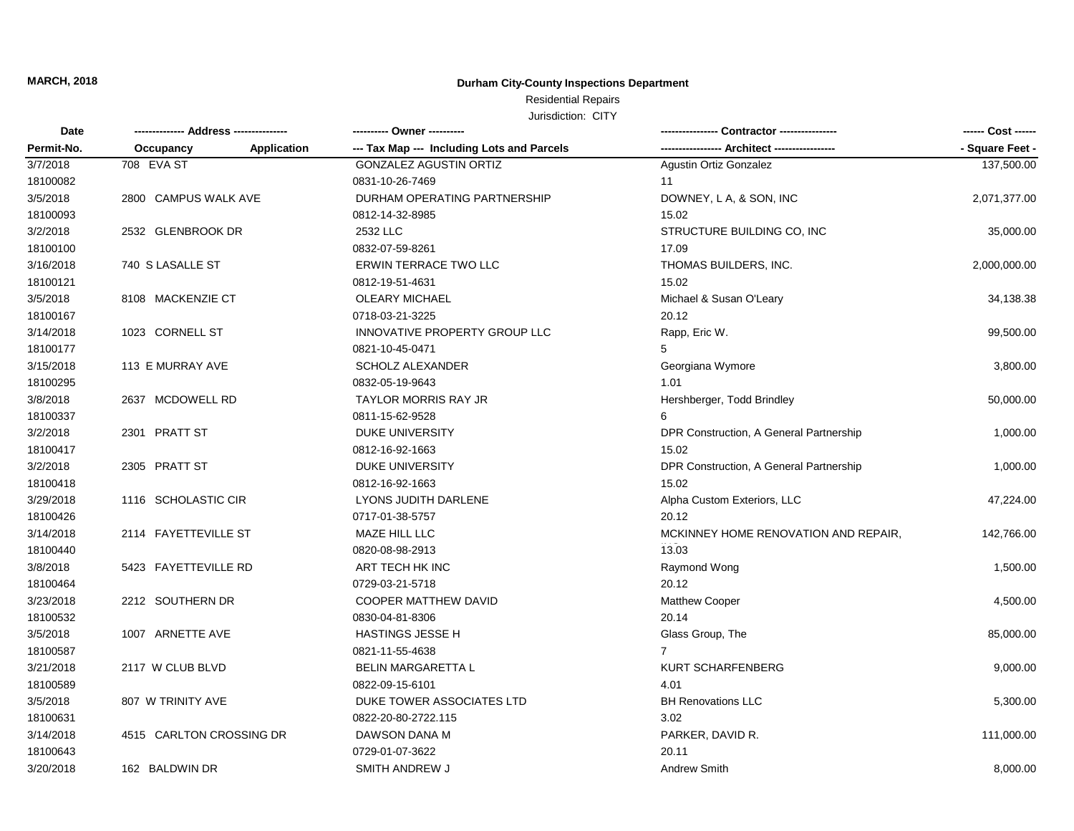#### **Durham City-County Inspections Department**

### Residential Repairs

| Date       | -------------- Address --------------- |             | --------- Owner ---------                  |                                         | ------ Cost ------ |
|------------|----------------------------------------|-------------|--------------------------------------------|-----------------------------------------|--------------------|
| Permit-No. | Occupancy                              | Application | --- Tax Map --- Including Lots and Parcels |                                         | - Square Feet -    |
| 3/7/2018   | 708 EVA ST                             |             | <b>GONZALEZ AGUSTIN ORTIZ</b>              | Agustin Ortiz Gonzalez                  | 137,500.00         |
| 18100082   |                                        |             | 0831-10-26-7469                            | 11                                      |                    |
| 3/5/2018   | 2800 CAMPUS WALK AVE                   |             | DURHAM OPERATING PARTNERSHIP               | DOWNEY, L A, & SON, INC                 | 2,071,377.00       |
| 18100093   |                                        |             | 0812-14-32-8985                            | 15.02                                   |                    |
| 3/2/2018   | 2532 GLENBROOK DR                      |             | 2532 LLC                                   | STRUCTURE BUILDING CO, INC              | 35,000.00          |
| 18100100   |                                        |             | 0832-07-59-8261                            | 17.09                                   |                    |
| 3/16/2018  | 740 S LASALLE ST                       |             | ERWIN TERRACE TWO LLC                      | THOMAS BUILDERS, INC.                   | 2,000,000.00       |
| 18100121   |                                        |             | 0812-19-51-4631                            | 15.02                                   |                    |
| 3/5/2018   | 8108 MACKENZIE CT                      |             | <b>OLEARY MICHAEL</b>                      | Michael & Susan O'Leary                 | 34,138.38          |
| 18100167   |                                        |             | 0718-03-21-3225                            | 20.12                                   |                    |
| 3/14/2018  | 1023 CORNELL ST                        |             | INNOVATIVE PROPERTY GROUP LLC              | Rapp, Eric W.                           | 99,500.00          |
| 18100177   |                                        |             | 0821-10-45-0471                            | 5                                       |                    |
| 3/15/2018  | 113 E MURRAY AVE                       |             | <b>SCHOLZ ALEXANDER</b>                    | Georgiana Wymore                        | 3,800.00           |
| 18100295   |                                        |             | 0832-05-19-9643                            | 1.01                                    |                    |
| 3/8/2018   | 2637 MCDOWELL RD                       |             | <b>TAYLOR MORRIS RAY JR</b>                | Hershberger, Todd Brindley              | 50,000.00          |
| 18100337   |                                        |             | 0811-15-62-9528                            |                                         |                    |
| 3/2/2018   | 2301 PRATT ST                          |             | <b>DUKE UNIVERSITY</b>                     | DPR Construction, A General Partnership | 1,000.00           |
| 18100417   |                                        |             | 0812-16-92-1663                            | 15.02                                   |                    |
| 3/2/2018   | 2305 PRATT ST                          |             | <b>DUKE UNIVERSITY</b>                     | DPR Construction, A General Partnership | 1,000.00           |
| 18100418   |                                        |             | 0812-16-92-1663                            | 15.02                                   |                    |
| 3/29/2018  | 1116 SCHOLASTIC CIR                    |             | LYONS JUDITH DARLENE                       | Alpha Custom Exteriors, LLC             | 47,224.00          |
| 18100426   |                                        |             | 0717-01-38-5757                            | 20.12                                   |                    |
| 3/14/2018  | 2114 FAYETTEVILLE ST                   |             | MAZE HILL LLC                              | MCKINNEY HOME RENOVATION AND REPAIR,    | 142,766.00         |
| 18100440   |                                        |             | 0820-08-98-2913                            | 13.03                                   |                    |
| 3/8/2018   | 5423 FAYETTEVILLE RD                   |             | ART TECH HK INC                            | Raymond Wong                            | 1,500.00           |
| 18100464   |                                        |             | 0729-03-21-5718                            | 20.12                                   |                    |
| 3/23/2018  | 2212 SOUTHERN DR                       |             | <b>COOPER MATTHEW DAVID</b>                | Matthew Cooper                          | 4,500.00           |
| 18100532   |                                        |             | 0830-04-81-8306                            | 20.14                                   |                    |
| 3/5/2018   | 1007 ARNETTE AVE                       |             | <b>HASTINGS JESSE H</b>                    | Glass Group, The                        | 85,000.00          |
| 18100587   |                                        |             | 0821-11-55-4638                            | $\overline{7}$                          |                    |
| 3/21/2018  | 2117 W CLUB BLVD                       |             | <b>BELIN MARGARETTA L</b>                  | <b>KURT SCHARFENBERG</b>                | 9,000.00           |
| 18100589   |                                        |             | 0822-09-15-6101                            | 4.01                                    |                    |
| 3/5/2018   | 807 W TRINITY AVE                      |             | DUKE TOWER ASSOCIATES LTD                  | <b>BH Renovations LLC</b>               | 5,300.00           |
| 18100631   |                                        |             | 0822-20-80-2722.115                        | 3.02                                    |                    |
| 3/14/2018  | 4515 CARLTON CROSSING DR               |             | DAWSON DANA M                              | PARKER, DAVID R.                        | 111,000.00         |
| 18100643   |                                        |             | 0729-01-07-3622                            | 20.11                                   |                    |
| 3/20/2018  | 162 BALDWIN DR                         |             | <b>SMITH ANDREW J</b>                      | Andrew Smith                            | 8,000.00           |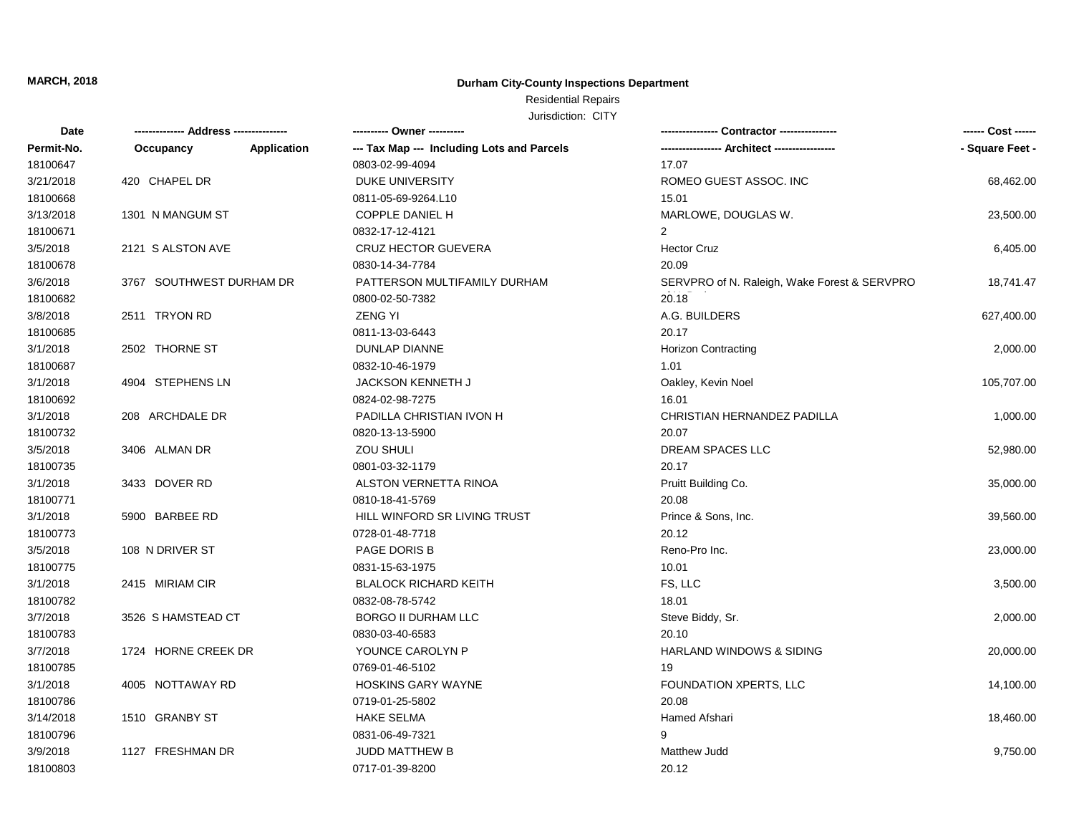#### **Durham City-County Inspections Department**

### Residential Repairs

| Date       | -------------- Address --------------- |                    | ---------- Owner ----------                |                                              | ------ Cost ------ |
|------------|----------------------------------------|--------------------|--------------------------------------------|----------------------------------------------|--------------------|
| Permit-No. | Occupancy                              | <b>Application</b> | --- Tax Map --- Including Lots and Parcels | ---------------- Architect ----------------  | - Square Feet -    |
| 18100647   |                                        |                    | 0803-02-99-4094                            | 17.07                                        |                    |
| 3/21/2018  | 420 CHAPEL DR                          |                    | <b>DUKE UNIVERSITY</b>                     | ROMEO GUEST ASSOC. INC                       | 68,462.00          |
| 18100668   |                                        |                    | 0811-05-69-9264.L10                        | 15.01                                        |                    |
| 3/13/2018  | 1301 N MANGUM ST                       |                    | COPPLE DANIEL H                            | MARLOWE, DOUGLAS W.                          | 23,500.00          |
| 18100671   |                                        |                    | 0832-17-12-4121                            | $\overline{2}$                               |                    |
| 3/5/2018   | 2121 S ALSTON AVE                      |                    | <b>CRUZ HECTOR GUEVERA</b>                 | <b>Hector Cruz</b>                           | 6,405.00           |
| 18100678   |                                        |                    | 0830-14-34-7784                            | 20.09                                        |                    |
| 3/6/2018   | 3767 SOUTHWEST DURHAM DR               |                    | PATTERSON MULTIFAMILY DURHAM               | SERVPRO of N. Raleigh, Wake Forest & SERVPRO | 18,741.47          |
| 18100682   |                                        |                    | 0800-02-50-7382                            | 20.18                                        |                    |
| 3/8/2018   | 2511 TRYON RD                          |                    | <b>ZENG YI</b>                             | A.G. BUILDERS                                | 627,400.00         |
| 18100685   |                                        |                    | 0811-13-03-6443                            | 20.17                                        |                    |
| 3/1/2018   | 2502 THORNE ST                         |                    | <b>DUNLAP DIANNE</b>                       | <b>Horizon Contracting</b>                   | 2,000.00           |
| 18100687   |                                        |                    | 0832-10-46-1979                            | 1.01                                         |                    |
| 3/1/2018   | 4904 STEPHENS LN                       |                    | <b>JACKSON KENNETH J</b>                   | Oakley, Kevin Noel                           | 105,707.00         |
| 18100692   |                                        |                    | 0824-02-98-7275                            | 16.01                                        |                    |
| 3/1/2018   | 208 ARCHDALE DR                        |                    | PADILLA CHRISTIAN IVON H                   | CHRISTIAN HERNANDEZ PADILLA                  | 1,000.00           |
| 18100732   |                                        |                    | 0820-13-13-5900                            | 20.07                                        |                    |
| 3/5/2018   | 3406 ALMAN DR                          |                    | <b>ZOU SHULI</b>                           | DREAM SPACES LLC                             | 52,980.00          |
| 18100735   |                                        |                    | 0801-03-32-1179                            | 20.17                                        |                    |
| 3/1/2018   | 3433 DOVER RD                          |                    | ALSTON VERNETTA RINOA                      | Pruitt Building Co.                          | 35,000.00          |
| 18100771   |                                        |                    | 0810-18-41-5769                            | 20.08                                        |                    |
| 3/1/2018   | 5900 BARBEE RD                         |                    | HILL WINFORD SR LIVING TRUST               | Prince & Sons, Inc.                          | 39,560.00          |
| 18100773   |                                        |                    | 0728-01-48-7718                            | 20.12                                        |                    |
| 3/5/2018   | 108 N DRIVER ST                        |                    | PAGE DORIS B                               | Reno-Pro Inc.                                | 23,000.00          |
| 18100775   |                                        |                    | 0831-15-63-1975                            | 10.01                                        |                    |
| 3/1/2018   | 2415 MIRIAM CIR                        |                    | <b>BLALOCK RICHARD KEITH</b>               | FS, LLC                                      | 3,500.00           |
| 18100782   |                                        |                    | 0832-08-78-5742                            | 18.01                                        |                    |
| 3/7/2018   | 3526 S HAMSTEAD CT                     |                    | BORGO II DURHAM LLC                        | Steve Biddy, Sr.                             | 2,000.00           |
| 18100783   |                                        |                    | 0830-03-40-6583                            | 20.10                                        |                    |
| 3/7/2018   | 1724 HORNE CREEK DR                    |                    | YOUNCE CAROLYN P                           | <b>HARLAND WINDOWS &amp; SIDING</b>          | 20,000.00          |
| 18100785   |                                        |                    | 0769-01-46-5102                            | 19                                           |                    |
| 3/1/2018   | 4005 NOTTAWAY RD                       |                    | <b>HOSKINS GARY WAYNE</b>                  | FOUNDATION XPERTS, LLC                       | 14,100.00          |
| 18100786   |                                        |                    | 0719-01-25-5802                            | 20.08                                        |                    |
| 3/14/2018  | 1510 GRANBY ST                         |                    | <b>HAKE SELMA</b>                          | Hamed Afshari                                | 18,460.00          |
| 18100796   |                                        |                    | 0831-06-49-7321                            | 9                                            |                    |
| 3/9/2018   | 1127 FRESHMAN DR                       |                    | <b>JUDD MATTHEW B</b>                      | <b>Matthew Judd</b>                          | 9,750.00           |
| 18100803   |                                        |                    | 0717-01-39-8200                            | 20.12                                        |                    |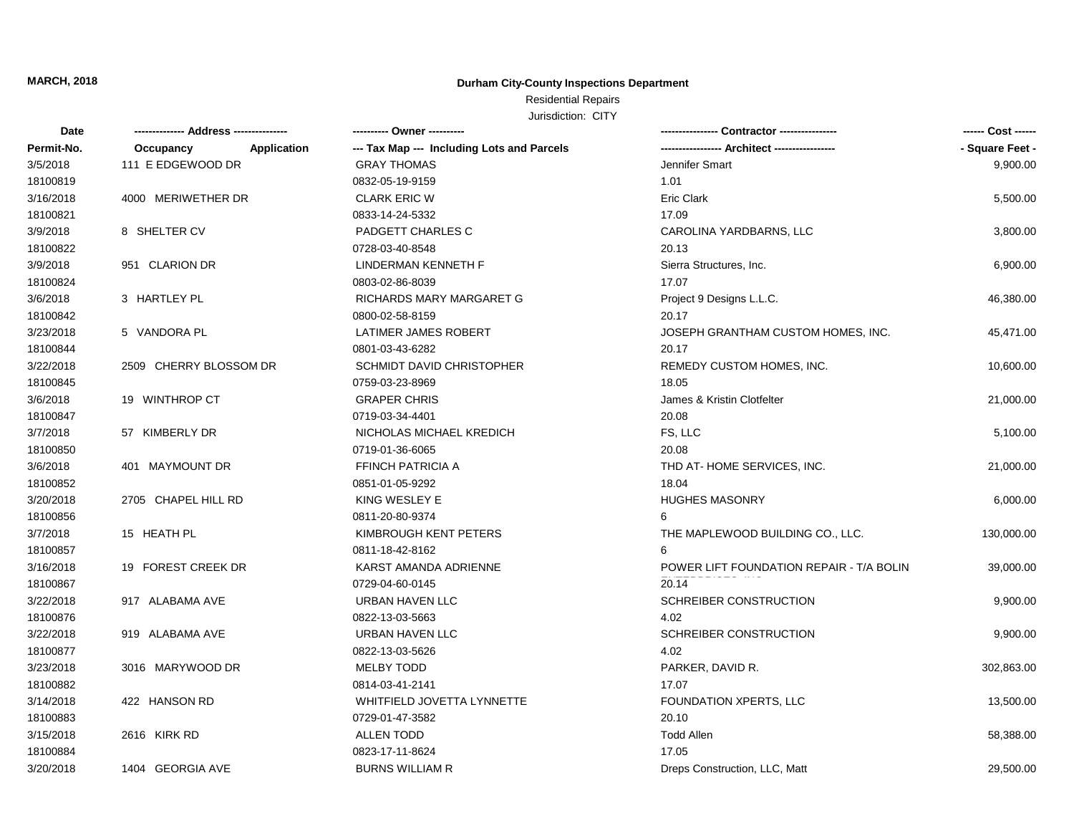#### **Durham City-County Inspections Department**

# Residential Repairs

| Date       | -------------- Address --------------- | ---------- Owner ----------                               |                                          | ------ Cost ------ |
|------------|----------------------------------------|-----------------------------------------------------------|------------------------------------------|--------------------|
| Permit-No. | Occupancy                              | Application<br>--- Tax Map --- Including Lots and Parcels |                                          | - Square Feet -    |
| 3/5/2018   | 111 E EDGEWOOD DR                      | <b>GRAY THOMAS</b>                                        | Jennifer Smart                           | 9,900.00           |
| 18100819   |                                        | 0832-05-19-9159                                           | 1.01                                     |                    |
| 3/16/2018  | 4000 MERIWETHER DR                     | <b>CLARK ERIC W</b>                                       | <b>Eric Clark</b>                        | 5,500.00           |
| 18100821   |                                        | 0833-14-24-5332                                           | 17.09                                    |                    |
| 3/9/2018   | 8 SHELTER CV                           | PADGETT CHARLES C                                         | CAROLINA YARDBARNS, LLC                  | 3,800.00           |
| 18100822   |                                        | 0728-03-40-8548                                           | 20.13                                    |                    |
| 3/9/2018   | 951 CLARION DR                         | LINDERMAN KENNETH F                                       | Sierra Structures, Inc.                  | 6,900.00           |
| 18100824   |                                        | 0803-02-86-8039                                           | 17.07                                    |                    |
| 3/6/2018   | 3 HARTLEY PL                           | RICHARDS MARY MARGARET G                                  | Project 9 Designs L.L.C.                 | 46,380.00          |
| 18100842   |                                        | 0800-02-58-8159                                           | 20.17                                    |                    |
| 3/23/2018  | 5 VANDORA PL                           | LATIMER JAMES ROBERT                                      | JOSEPH GRANTHAM CUSTOM HOMES, INC.       | 45,471.00          |
| 18100844   |                                        | 0801-03-43-6282                                           | 20.17                                    |                    |
| 3/22/2018  | 2509 CHERRY BLOSSOM DR                 | <b>SCHMIDT DAVID CHRISTOPHER</b>                          | REMEDY CUSTOM HOMES, INC.                | 10,600.00          |
| 18100845   |                                        | 0759-03-23-8969                                           | 18.05                                    |                    |
| 3/6/2018   | 19 WINTHROP CT                         | <b>GRAPER CHRIS</b>                                       | James & Kristin Clotfelter               | 21,000.00          |
| 18100847   |                                        | 0719-03-34-4401                                           | 20.08                                    |                    |
| 3/7/2018   | 57 KIMBERLY DR                         | NICHOLAS MICHAEL KREDICH                                  | FS, LLC                                  | 5,100.00           |
| 18100850   |                                        | 0719-01-36-6065                                           | 20.08                                    |                    |
| 3/6/2018   | 401 MAYMOUNT DR                        | FFINCH PATRICIA A                                         | THD AT-HOME SERVICES, INC.               | 21,000.00          |
| 18100852   |                                        | 0851-01-05-9292                                           | 18.04                                    |                    |
| 3/20/2018  | 2705 CHAPEL HILL RD                    | KING WESLEY E                                             | <b>HUGHES MASONRY</b>                    | 6,000.00           |
| 18100856   |                                        | 0811-20-80-9374                                           | 6                                        |                    |
| 3/7/2018   | 15 HEATH PL                            | KIMBROUGH KENT PETERS                                     | THE MAPLEWOOD BUILDING CO., LLC.         | 130,000.00         |
| 18100857   |                                        | 0811-18-42-8162                                           | 6                                        |                    |
| 3/16/2018  | 19 FOREST CREEK DR                     | KARST AMANDA ADRIENNE                                     | POWER LIFT FOUNDATION REPAIR - T/A BOLIN | 39,000.00          |
| 18100867   |                                        | 0729-04-60-0145                                           | 20.14                                    |                    |
| 3/22/2018  | 917 ALABAMA AVE                        | URBAN HAVEN LLC                                           | SCHREIBER CONSTRUCTION                   | 9,900.00           |
| 18100876   |                                        | 0822-13-03-5663                                           | 4.02                                     |                    |
| 3/22/2018  | 919 ALABAMA AVE                        | <b>URBAN HAVEN LLC</b>                                    | SCHREIBER CONSTRUCTION                   | 9,900.00           |
| 18100877   |                                        | 0822-13-03-5626                                           | 4.02                                     |                    |
| 3/23/2018  | 3016 MARYWOOD DR                       | <b>MELBY TODD</b>                                         | PARKER, DAVID R.                         | 302,863.00         |
| 18100882   |                                        | 0814-03-41-2141                                           | 17.07                                    |                    |
| 3/14/2018  | 422 HANSON RD                          | WHITFIELD JOVETTA LYNNETTE                                | FOUNDATION XPERTS, LLC                   | 13,500.00          |
| 18100883   |                                        | 0729-01-47-3582                                           | 20.10                                    |                    |
| 3/15/2018  | 2616 KIRK RD                           | <b>ALLEN TODD</b>                                         | <b>Todd Allen</b>                        | 58,388.00          |
| 18100884   |                                        | 0823-17-11-8624                                           | 17.05                                    |                    |
| 3/20/2018  | 1404 GEORGIA AVE                       | <b>BURNS WILLIAM R</b>                                    | Dreps Construction, LLC, Matt            | 29,500.00          |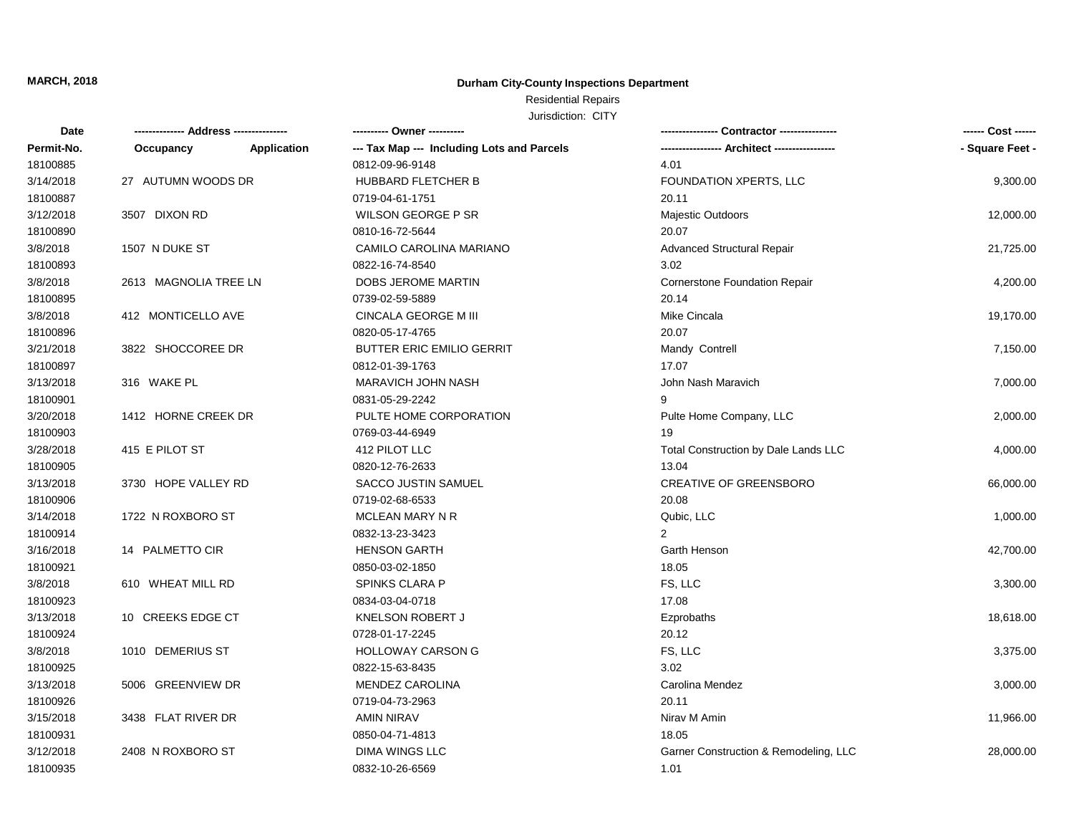#### **Durham City-County Inspections Department**

### Residential Repairs

| Date       |                       |                    | ---------- Owner ----------                |                                       |                 |
|------------|-----------------------|--------------------|--------------------------------------------|---------------------------------------|-----------------|
| Permit-No. | Occupancy             | <b>Application</b> | --- Tax Map --- Including Lots and Parcels |                                       | - Square Feet - |
| 18100885   |                       |                    | 0812-09-96-9148                            | 4.01                                  |                 |
| 3/14/2018  | 27 AUTUMN WOODS DR    |                    | <b>HUBBARD FLETCHER B</b>                  | FOUNDATION XPERTS, LLC                | 9,300.00        |
| 18100887   |                       |                    | 0719-04-61-1751                            | 20.11                                 |                 |
| 3/12/2018  | 3507 DIXON RD         |                    | WILSON GEORGE P SR                         | Majestic Outdoors                     | 12,000.00       |
| 18100890   |                       |                    | 0810-16-72-5644                            | 20.07                                 |                 |
| 3/8/2018   | 1507 N DUKE ST        |                    | CAMILO CAROLINA MARIANO                    | <b>Advanced Structural Repair</b>     | 21,725.00       |
| 18100893   |                       |                    | 0822-16-74-8540                            | 3.02                                  |                 |
| 3/8/2018   | 2613 MAGNOLIA TREE LN |                    | DOBS JEROME MARTIN                         | <b>Cornerstone Foundation Repair</b>  | 4,200.00        |
| 18100895   |                       |                    | 0739-02-59-5889                            | 20.14                                 |                 |
| 3/8/2018   | 412 MONTICELLO AVE    |                    | <b>CINCALA GEORGE M III</b>                | Mike Cincala                          | 19,170.00       |
| 18100896   |                       |                    | 0820-05-17-4765                            | 20.07                                 |                 |
| 3/21/2018  | 3822 SHOCCOREE DR     |                    | <b>BUTTER ERIC EMILIO GERRIT</b>           | Mandy Contrell                        | 7,150.00        |
| 18100897   |                       |                    | 0812-01-39-1763                            | 17.07                                 |                 |
| 3/13/2018  | 316 WAKE PL           |                    | <b>MARAVICH JOHN NASH</b>                  | John Nash Maravich                    | 7,000.00        |
| 18100901   |                       |                    | 0831-05-29-2242                            | 9                                     |                 |
| 3/20/2018  | 1412 HORNE CREEK DR   |                    | PULTE HOME CORPORATION                     | Pulte Home Company, LLC               | 2,000.00        |
| 18100903   |                       |                    | 0769-03-44-6949                            | 19                                    |                 |
| 3/28/2018  | 415 E PILOT ST        |                    | 412 PILOT LLC                              | Total Construction by Dale Lands LLC  | 4,000.00        |
| 18100905   |                       |                    | 0820-12-76-2633                            | 13.04                                 |                 |
| 3/13/2018  | 3730 HOPE VALLEY RD   |                    | <b>SACCO JUSTIN SAMUEL</b>                 | <b>CREATIVE OF GREENSBORO</b>         | 66,000.00       |
| 18100906   |                       |                    | 0719-02-68-6533                            | 20.08                                 |                 |
| 3/14/2018  | 1722 N ROXBORO ST     |                    | MCLEAN MARY N R                            | Qubic, LLC                            | 1,000.00        |
| 18100914   |                       |                    | 0832-13-23-3423                            | $\overline{2}$                        |                 |
| 3/16/2018  | 14 PALMETTO CIR       |                    | <b>HENSON GARTH</b>                        | Garth Henson                          | 42,700.00       |
| 18100921   |                       |                    | 0850-03-02-1850                            | 18.05                                 |                 |
| 3/8/2018   | 610 WHEAT MILL RD     |                    | SPINKS CLARA P                             | FS, LLC                               | 3,300.00        |
| 18100923   |                       |                    | 0834-03-04-0718                            | 17.08                                 |                 |
| 3/13/2018  | 10 CREEKS EDGE CT     |                    | KNELSON ROBERT J                           | Ezprobaths                            | 18,618.00       |
| 18100924   |                       |                    | 0728-01-17-2245                            | 20.12                                 |                 |
| 3/8/2018   | 1010 DEMERIUS ST      |                    | <b>HOLLOWAY CARSON G</b>                   | FS, LLC                               | 3,375.00        |
| 18100925   |                       |                    | 0822-15-63-8435                            | 3.02                                  |                 |
| 3/13/2018  | 5006 GREENVIEW DR     |                    | <b>MENDEZ CAROLINA</b>                     | Carolina Mendez                       | 3,000.00        |
| 18100926   |                       |                    | 0719-04-73-2963                            | 20.11                                 |                 |
| 3/15/2018  | 3438 FLAT RIVER DR    |                    | <b>AMIN NIRAV</b>                          | Nirav M Amin                          | 11,966.00       |
| 18100931   |                       |                    | 0850-04-71-4813                            | 18.05                                 |                 |
| 3/12/2018  | 2408 N ROXBORO ST     |                    | <b>DIMA WINGS LLC</b>                      | Garner Construction & Remodeling, LLC | 28,000.00       |
| 18100935   |                       |                    | 0832-10-26-6569                            | 1.01                                  |                 |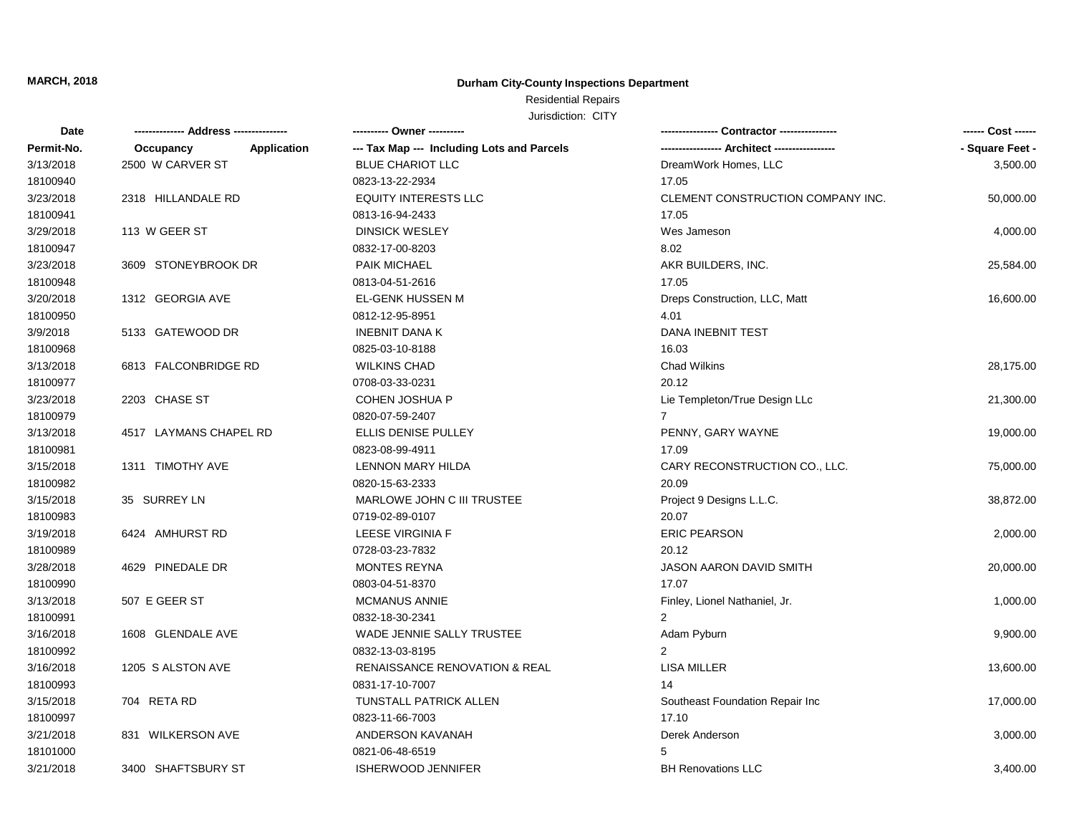#### **Durham City-County Inspections Department**

# Residential Repairs

| Date       | -------------- Address --------------- | ---------- Owner ----------                |                                   | ------ Cost ------ |
|------------|----------------------------------------|--------------------------------------------|-----------------------------------|--------------------|
| Permit-No. | Application<br>Occupancy               | --- Tax Map --- Including Lots and Parcels |                                   | - Square Feet -    |
| 3/13/2018  | 2500 W CARVER ST                       | <b>BLUE CHARIOT LLC</b>                    | DreamWork Homes, LLC              | 3,500.00           |
| 18100940   |                                        | 0823-13-22-2934                            | 17.05                             |                    |
| 3/23/2018  | 2318 HILLANDALE RD                     | <b>EQUITY INTERESTS LLC</b>                | CLEMENT CONSTRUCTION COMPANY INC. | 50,000.00          |
| 18100941   |                                        | 0813-16-94-2433                            | 17.05                             |                    |
| 3/29/2018  | 113 W GEER ST                          | <b>DINSICK WESLEY</b>                      | Wes Jameson                       | 4,000.00           |
| 18100947   |                                        | 0832-17-00-8203                            | 8.02                              |                    |
| 3/23/2018  | 3609 STONEYBROOK DR                    | <b>PAIK MICHAEL</b>                        | AKR BUILDERS, INC.                | 25,584.00          |
| 18100948   |                                        | 0813-04-51-2616                            | 17.05                             |                    |
| 3/20/2018  | 1312 GEORGIA AVE                       | <b>EL-GENK HUSSEN M</b>                    | Dreps Construction, LLC, Matt     | 16,600.00          |
| 18100950   |                                        | 0812-12-95-8951                            | 4.01                              |                    |
| 3/9/2018   | 5133 GATEWOOD DR                       | <b>INEBNIT DANA K</b>                      | DANA INEBNIT TEST                 |                    |
| 18100968   |                                        | 0825-03-10-8188                            | 16.03                             |                    |
| 3/13/2018  | 6813 FALCONBRIDGE RD                   | <b>WILKINS CHAD</b>                        | <b>Chad Wilkins</b>               | 28,175.00          |
| 18100977   |                                        | 0708-03-33-0231                            | 20.12                             |                    |
| 3/23/2018  | 2203 CHASE ST                          | COHEN JOSHUA P                             | Lie Templeton/True Design LLc     | 21,300.00          |
| 18100979   |                                        | 0820-07-59-2407                            | $\overline{7}$                    |                    |
| 3/13/2018  | 4517 LAYMANS CHAPEL RD                 | ELLIS DENISE PULLEY                        | PENNY, GARY WAYNE                 | 19,000.00          |
| 18100981   |                                        | 0823-08-99-4911                            | 17.09                             |                    |
| 3/15/2018  | 1311 TIMOTHY AVE                       | <b>LENNON MARY HILDA</b>                   | CARY RECONSTRUCTION CO., LLC.     | 75,000.00          |
| 18100982   |                                        | 0820-15-63-2333                            | 20.09                             |                    |
| 3/15/2018  | 35 SURREY LN                           | MARLOWE JOHN C III TRUSTEE                 | Project 9 Designs L.L.C.          | 38,872.00          |
| 18100983   |                                        | 0719-02-89-0107                            | 20.07                             |                    |
| 3/19/2018  | 6424 AMHURST RD                        | LEESE VIRGINIA F                           | ERIC PEARSON                      | 2,000.00           |
| 18100989   |                                        | 0728-03-23-7832                            | 20.12                             |                    |
| 3/28/2018  | 4629 PINEDALE DR                       | <b>MONTES REYNA</b>                        | JASON AARON DAVID SMITH           | 20,000.00          |
| 18100990   |                                        | 0803-04-51-8370                            | 17.07                             |                    |
| 3/13/2018  | 507 E GEER ST                          | <b>MCMANUS ANNIE</b>                       | Finley, Lionel Nathaniel, Jr.     | 1,000.00           |
| 18100991   |                                        | 0832-18-30-2341                            | 2                                 |                    |
| 3/16/2018  | 1608 GLENDALE AVE                      | WADE JENNIE SALLY TRUSTEE                  | Adam Pyburn                       | 9,900.00           |
| 18100992   |                                        | 0832-13-03-8195                            | 2                                 |                    |
| 3/16/2018  | 1205 S ALSTON AVE                      | <b>RENAISSANCE RENOVATION &amp; REAL</b>   | <b>LISA MILLER</b>                | 13,600.00          |
| 18100993   |                                        | 0831-17-10-7007                            | 14                                |                    |
| 3/15/2018  | 704 RETA RD                            | TUNSTALL PATRICK ALLEN                     | Southeast Foundation Repair Inc   | 17,000.00          |
| 18100997   |                                        | 0823-11-66-7003                            | 17.10                             |                    |
| 3/21/2018  | 831 WILKERSON AVE                      | ANDERSON KAVANAH                           | Derek Anderson                    | 3,000.00           |
| 18101000   |                                        | 0821-06-48-6519                            | 5                                 |                    |
| 3/21/2018  | 3400 SHAFTSBURY ST                     | <b>ISHERWOOD JENNIFER</b>                  | <b>BH Renovations LLC</b>         | 3,400.00           |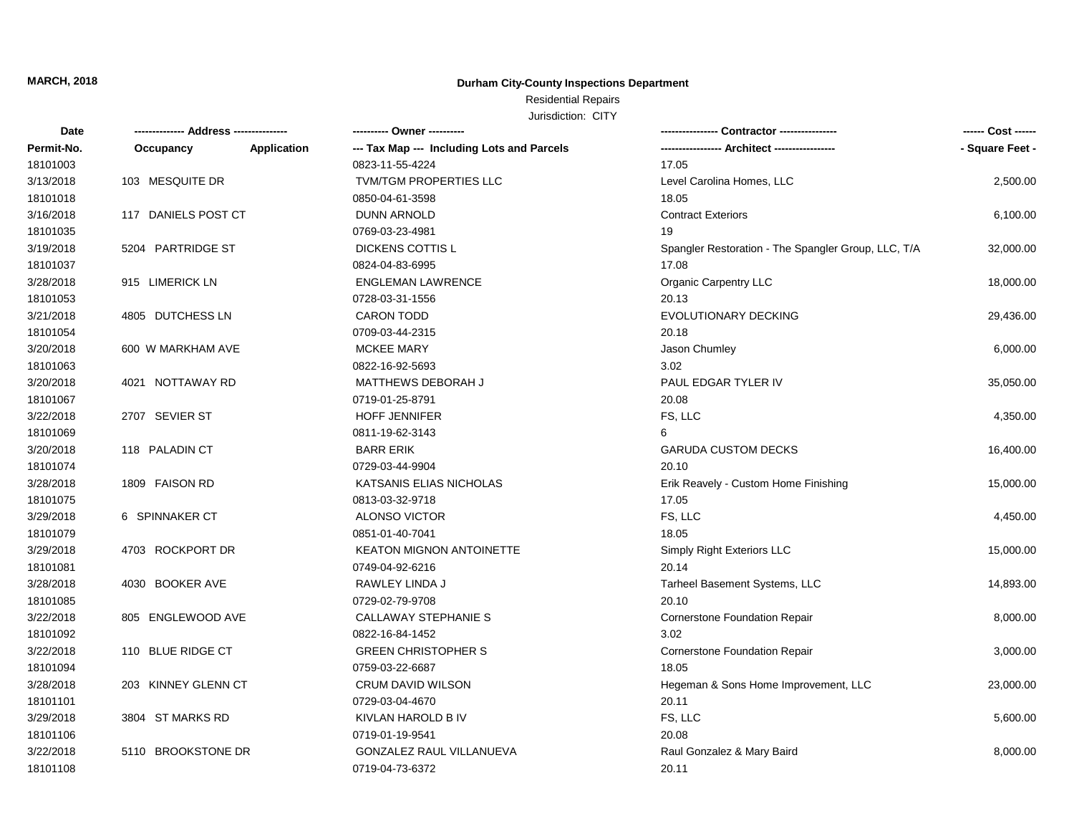#### **Durham City-County Inspections Department**

## Residential Repairs

| Date       | -------------- Address --------------- |             | ---------- Owner ----------                |                                                     | ------ Cost ------ |
|------------|----------------------------------------|-------------|--------------------------------------------|-----------------------------------------------------|--------------------|
| Permit-No. | Occupancy                              | Application | --- Tax Map --- Including Lots and Parcels |                                                     | - Square Feet -    |
| 18101003   |                                        |             | 0823-11-55-4224                            | 17.05                                               |                    |
| 3/13/2018  | 103 MESQUITE DR                        |             | <b>TVM/TGM PROPERTIES LLC</b>              | Level Carolina Homes, LLC                           | 2,500.00           |
| 18101018   |                                        |             | 0850-04-61-3598                            | 18.05                                               |                    |
| 3/16/2018  | 117 DANIELS POST CT                    |             | DUNN ARNOLD                                | <b>Contract Exteriors</b>                           | 6,100.00           |
| 18101035   |                                        |             | 0769-03-23-4981                            | 19                                                  |                    |
| 3/19/2018  | 5204 PARTRIDGE ST                      |             | DICKENS COTTIS L                           | Spangler Restoration - The Spangler Group, LLC, T/A | 32,000.00          |
| 18101037   |                                        |             | 0824-04-83-6995                            | 17.08                                               |                    |
| 3/28/2018  | 915 LIMERICK LN                        |             | <b>ENGLEMAN LAWRENCE</b>                   | Organic Carpentry LLC                               | 18,000.00          |
| 18101053   |                                        |             | 0728-03-31-1556                            | 20.13                                               |                    |
| 3/21/2018  | 4805 DUTCHESS LN                       |             | <b>CARON TODD</b>                          | EVOLUTIONARY DECKING                                | 29,436.00          |
| 18101054   |                                        |             | 0709-03-44-2315                            | 20.18                                               |                    |
| 3/20/2018  | 600 W MARKHAM AVE                      |             | <b>MCKEE MARY</b>                          | Jason Chumley                                       | 6,000.00           |
| 18101063   |                                        |             | 0822-16-92-5693                            | 3.02                                                |                    |
| 3/20/2018  | 4021 NOTTAWAY RD                       |             | <b>MATTHEWS DEBORAH J</b>                  | PAUL EDGAR TYLER IV                                 | 35,050.00          |
| 18101067   |                                        |             | 0719-01-25-8791                            | 20.08                                               |                    |
| 3/22/2018  | 2707 SEVIER ST                         |             | <b>HOFF JENNIFER</b>                       | FS, LLC                                             | 4,350.00           |
| 18101069   |                                        |             | 0811-19-62-3143                            | 6                                                   |                    |
| 3/20/2018  | 118 PALADIN CT                         |             | <b>BARR ERIK</b>                           | <b>GARUDA CUSTOM DECKS</b>                          | 16,400.00          |
| 18101074   |                                        |             | 0729-03-44-9904                            | 20.10                                               |                    |
| 3/28/2018  | 1809 FAISON RD                         |             | KATSANIS ELIAS NICHOLAS                    | Erik Reavely - Custom Home Finishing                | 15,000.00          |
| 18101075   |                                        |             | 0813-03-32-9718                            | 17.05                                               |                    |
| 3/29/2018  | 6 SPINNAKER CT                         |             | <b>ALONSO VICTOR</b>                       | FS, LLC                                             | 4,450.00           |
| 18101079   |                                        |             | 0851-01-40-7041                            | 18.05                                               |                    |
| 3/29/2018  | 4703 ROCKPORT DR                       |             | <b>KEATON MIGNON ANTOINETTE</b>            | Simply Right Exteriors LLC                          | 15,000.00          |
| 18101081   |                                        |             | 0749-04-92-6216                            | 20.14                                               |                    |
| 3/28/2018  | 4030 BOOKER AVE                        |             | RAWLEY LINDA J                             | Tarheel Basement Systems, LLC                       | 14,893.00          |
| 18101085   |                                        |             | 0729-02-79-9708                            | 20.10                                               |                    |
| 3/22/2018  | 805 ENGLEWOOD AVE                      |             | CALLAWAY STEPHANIE S                       | Cornerstone Foundation Repair                       | 8,000.00           |
| 18101092   |                                        |             | 0822-16-84-1452                            | 3.02                                                |                    |
| 3/22/2018  | 110 BLUE RIDGE CT                      |             | <b>GREEN CHRISTOPHER S</b>                 | Cornerstone Foundation Repair                       | 3,000.00           |
| 18101094   |                                        |             | 0759-03-22-6687                            | 18.05                                               |                    |
| 3/28/2018  | 203 KINNEY GLENN CT                    |             | <b>CRUM DAVID WILSON</b>                   | Hegeman & Sons Home Improvement, LLC                | 23,000.00          |
| 18101101   |                                        |             | 0729-03-04-4670                            | 20.11                                               |                    |
| 3/29/2018  | 3804 ST MARKS RD                       |             | KIVLAN HAROLD B IV                         | FS, LLC                                             | 5,600.00           |
| 18101106   |                                        |             | 0719-01-19-9541                            | 20.08                                               |                    |
| 3/22/2018  | 5110 BROOKSTONE DR                     |             | <b>GONZALEZ RAUL VILLANUEVA</b>            | Raul Gonzalez & Mary Baird                          | 8,000.00           |
| 18101108   |                                        |             | 0719-04-73-6372                            | 20.11                                               |                    |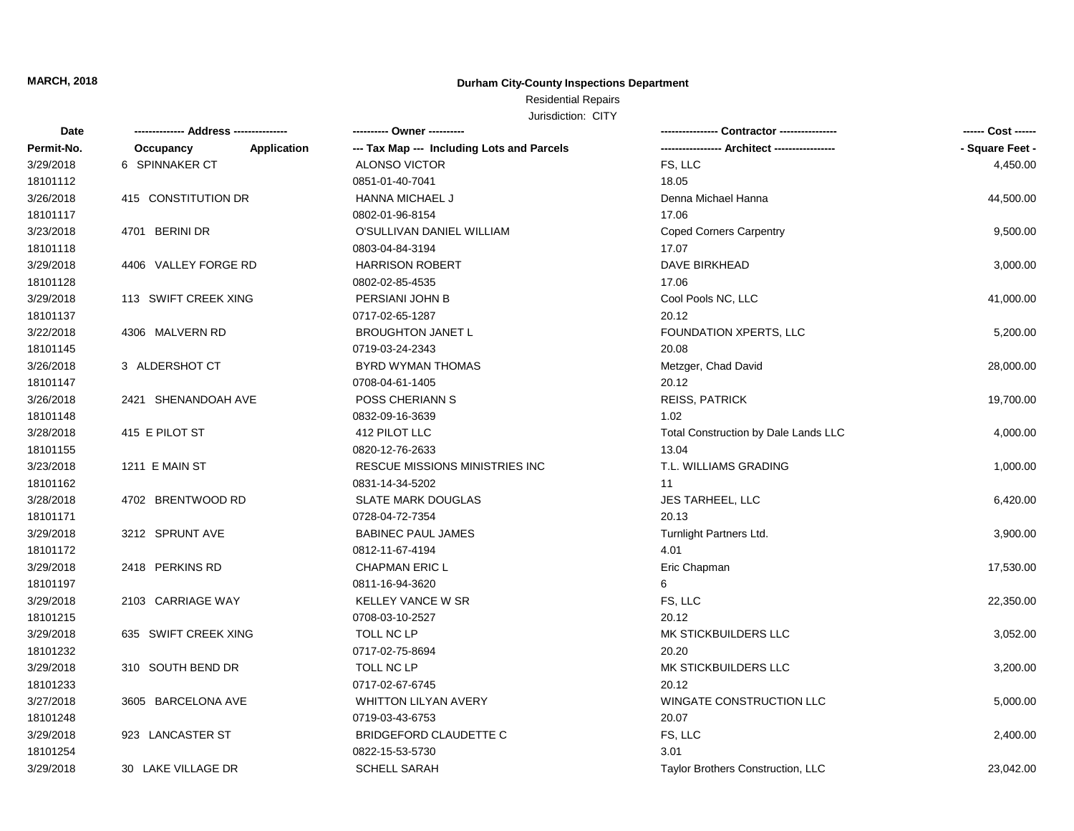#### **Durham City-County Inspections Department**

### Residential Repairs

| Date       |                                 | ---------- Owner ----------                |                                      | ------ Cost ------ |
|------------|---------------------------------|--------------------------------------------|--------------------------------------|--------------------|
| Permit-No. | <b>Application</b><br>Occupancy | --- Tax Map --- Including Lots and Parcels |                                      | - Square Feet -    |
| 3/29/2018  | 6 SPINNAKER CT                  | ALONSO VICTOR                              | FS, LLC                              | 4,450.00           |
| 18101112   |                                 | 0851-01-40-7041                            | 18.05                                |                    |
| 3/26/2018  | 415 CONSTITUTION DR             | <b>HANNA MICHAEL J</b>                     | Denna Michael Hanna                  | 44,500.00          |
| 18101117   |                                 | 0802-01-96-8154                            | 17.06                                |                    |
| 3/23/2018  | 4701 BERINI DR                  | O'SULLIVAN DANIEL WILLIAM                  | <b>Coped Corners Carpentry</b>       | 9,500.00           |
| 18101118   |                                 | 0803-04-84-3194                            | 17.07                                |                    |
| 3/29/2018  | 4406 VALLEY FORGE RD            | <b>HARRISON ROBERT</b>                     | DAVE BIRKHEAD                        | 3,000.00           |
| 18101128   |                                 | 0802-02-85-4535                            | 17.06                                |                    |
| 3/29/2018  | 113 SWIFT CREEK XING            | PERSIANI JOHN B                            | Cool Pools NC, LLC                   | 41,000.00          |
| 18101137   |                                 | 0717-02-65-1287                            | 20.12                                |                    |
| 3/22/2018  | 4306 MALVERN RD                 | <b>BROUGHTON JANET L</b>                   | FOUNDATION XPERTS, LLC               | 5,200.00           |
| 18101145   |                                 | 0719-03-24-2343                            | 20.08                                |                    |
| 3/26/2018  | 3 ALDERSHOT CT                  | BYRD WYMAN THOMAS                          | Metzger, Chad David                  | 28,000.00          |
| 18101147   |                                 | 0708-04-61-1405                            | 20.12                                |                    |
| 3/26/2018  | 2421 SHENANDOAH AVE             | POSS CHERIANN S                            | <b>REISS, PATRICK</b>                | 19,700.00          |
| 18101148   |                                 | 0832-09-16-3639                            | 1.02                                 |                    |
| 3/28/2018  | 415 E PILOT ST                  | 412 PILOT LLC                              | Total Construction by Dale Lands LLC | 4,000.00           |
| 18101155   |                                 | 0820-12-76-2633                            | 13.04                                |                    |
| 3/23/2018  | 1211 E MAIN ST                  | RESCUE MISSIONS MINISTRIES INC             | T.L. WILLIAMS GRADING                | 1,000.00           |
| 18101162   |                                 | 0831-14-34-5202                            | 11                                   |                    |
| 3/28/2018  | 4702 BRENTWOOD RD               | <b>SLATE MARK DOUGLAS</b>                  | JES TARHEEL, LLC                     | 6,420.00           |
| 18101171   |                                 | 0728-04-72-7354                            | 20.13                                |                    |
| 3/29/2018  | 3212 SPRUNT AVE                 | <b>BABINEC PAUL JAMES</b>                  | Turnlight Partners Ltd.              | 3,900.00           |
| 18101172   |                                 | 0812-11-67-4194                            | 4.01                                 |                    |
| 3/29/2018  | 2418 PERKINS RD                 | <b>CHAPMAN ERIC L</b>                      | Eric Chapman                         | 17,530.00          |
| 18101197   |                                 | 0811-16-94-3620                            | 6                                    |                    |
| 3/29/2018  | 2103 CARRIAGE WAY               | <b>KELLEY VANCE W SR</b>                   | FS, LLC                              | 22,350.00          |
| 18101215   |                                 | 0708-03-10-2527                            | 20.12                                |                    |
| 3/29/2018  | 635 SWIFT CREEK XING            | TOLL NC LP                                 | MK STICKBUILDERS LLC                 | 3,052.00           |
| 18101232   |                                 | 0717-02-75-8694                            | 20.20                                |                    |
| 3/29/2018  | 310 SOUTH BEND DR               | TOLL NC LP                                 | MK STICKBUILDERS LLC                 | 3,200.00           |
| 18101233   |                                 | 0717-02-67-6745                            | 20.12                                |                    |
| 3/27/2018  | 3605 BARCELONA AVE              | <b>WHITTON LILYAN AVERY</b>                | WINGATE CONSTRUCTION LLC             | 5,000.00           |
| 18101248   |                                 | 0719-03-43-6753                            | 20.07                                |                    |
| 3/29/2018  | 923 LANCASTER ST                | <b>BRIDGEFORD CLAUDETTE C</b>              | FS, LLC                              | 2,400.00           |
| 18101254   |                                 | 0822-15-53-5730                            | 3.01                                 |                    |
| 3/29/2018  | 30 LAKE VILLAGE DR              | <b>SCHELL SARAH</b>                        | Taylor Brothers Construction, LLC    | 23,042.00          |